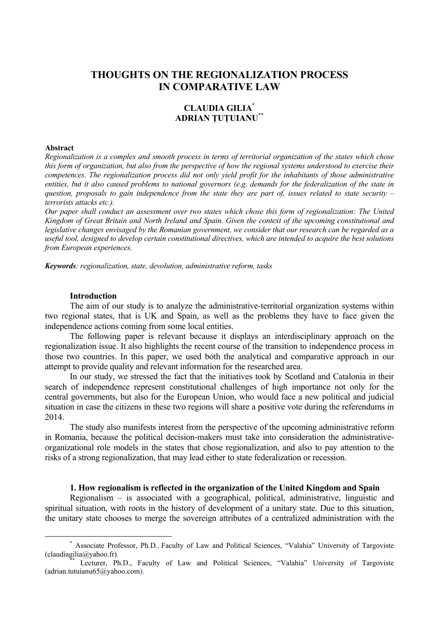# **THOUGHTS ON THE REGIONALIZATION PROCESS IN COMPARATIVE LAW**

## **CLAUDIA GILIA\* ADRIAN ŢUŢUIANU\*\***

#### **Abstract**

*Regionalization is a complex and smooth process in terms of territorial organization of the states which chose this form of organization, but also from the perspective of how the regional systems understood to exercise their competences. The regionalization process did not only yield profit for the inhabitants of those administrative entities, but it also caused problems to national governors (e.g. demands for the federalization of the state in question, proposals to gain independence from the state they are part of, issues related to state security – terrorists attacks etc.).* 

*Our paper shall conduct an assessment over two states which chose this form of regionalization: The United Kingdom of Great Britain and North Ireland and Spain. Given the context of the upcoming constitutional and legislative changes envisaged by the Romanian government, we consider that our research can be regarded as a useful tool, designed to develop certain constitutional directives, which are intended to acquire the best solutions from European experiences.* 

*Keywords: regionalization, state, devolution, administrative reform, tasks* 

## **Introduction**

The aim of our study is to analyze the administrative-territorial organization systems within two regional states, that is UK and Spain, as well as the problems they have to face given the independence actions coming from some local entities.

The following paper is relevant because it displays an interdisciplinary approach on the regionalization issue. It also highlights the recent course of the transition to independence process in those two countries. In this paper, we used both the analytical and comparative approach in our attempt to provide quality and relevant information for the researched area.

In our study, we stressed the fact that the initiatives took by Scotland and Catalonia in their search of independence represent constitutional challenges of high importance not only for the central governments, but also for the European Union, who would face a new political and judicial situation in case the citizens in these two regions will share a positive vote during the referendums in 2014.

The study also manifests interest from the perspective of the upcoming administrative reform in Romania, because the political decision-makers must take into consideration the administrativeorganizational role models in the states that chose regionalization, and also to pay attention to the risks of a strong regionalization, that may lead either to state federalization or recession.

#### **1. How regionalism is reflected in the organization of the United Kingdom and Spain**

Regionalism – is associated with a geographical, political, administrative, linguistic and spiritual situation, with roots in the history of development of a unitary state. Due to this situation, the unitary state chooses to merge the sovereign attributes of a centralized administration with the

 <sup>\*</sup> Associate Professor, Ph*.*D*.,* Faculty of Law and Political Sciences, "Valahia" University of Targoviste (claudiagilia@yahoo.fr).<br>\*\* Lecturer, Ph.D., Faculty of Law and Political Sciences, "Valahia" University of Targoviste

<sup>(</sup>adrian.tutuianu65@yahoo.com).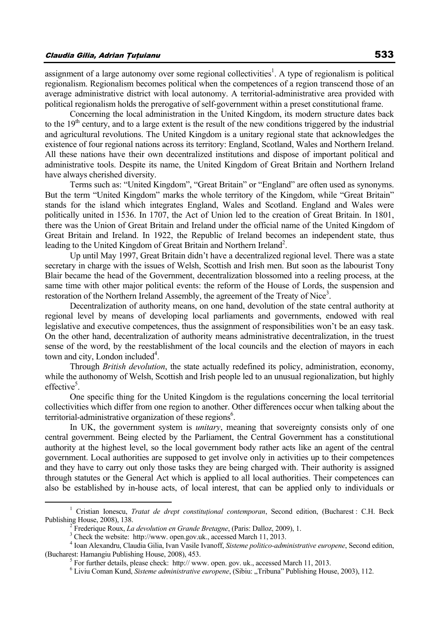assignment of a large autonomy over some regional collectivities<sup>1</sup>. A type of regionalism is political regionalism. Regionalism becomes political when the competences of a region transcend those of an average administrative district with local autonomy. A territorial-administrative area provided with political regionalism holds the prerogative of self-government within a preset constitutional frame.

Concerning the local administration in the United Kingdom, its modern structure dates back to the  $19<sup>th</sup>$  century, and to a large extent is the result of the new conditions triggered by the industrial and agricultural revolutions. The United Kingdom is a unitary regional state that acknowledges the existence of four regional nations across its territory: England, Scotland, Wales and Northern Ireland. All these nations have their own decentralized institutions and dispose of important political and administrative tools. Despite its name, the United Kingdom of Great Britain and Northern Ireland have always cherished diversity.

Terms such as: "United Kingdom", "Great Britain" or "England" are often used as synonyms. But the term "United Kingdom" marks the whole territory of the Kingdom, while "Great Britain" stands for the island which integrates England, Wales and Scotland. England and Wales were politically united in 1536. In 1707, the Act of Union led to the creation of Great Britain. In 1801, there was the Union of Great Britain and Ireland under the official name of the United Kingdom of Great Britain and Ireland. In 1922, the Republic of Ireland becomes an independent state, thus leading to the United Kingdom of Great Britain and Northern Ireland<sup>2</sup>.

Up until May 1997, Great Britain didn't have a decentralized regional level. There was a state secretary in charge with the issues of Welsh, Scottish and Irish men. But soon as the labourist Tony Blair became the head of the Government, decentralization blossomed into a reeling process, at the same time with other major political events: the reform of the House of Lords, the suspension and restoration of the Northern Ireland Assembly, the agreement of the Treaty of Nice<sup>3</sup>.

Decentralization of authority means, on one hand, devolution of the state central authority at regional level by means of developing local parliaments and governments, endowed with real legislative and executive competences, thus the assignment of responsibilities won't be an easy task. On the other hand, decentralization of authority means administrative decentralization, in the truest sense of the word, by the reestablishment of the local councils and the election of mayors in each town and city, London included<sup>4</sup>.

Through *British devolution*, the state actually redefined its policy, administration, economy, while the authonomy of Welsh, Scottish and Irish people led to an unusual regionalization, but highly effective<sup>5</sup>.

One specific thing for the United Kingdom is the regulations concerning the local territorial collectivities which differ from one region to another. Other differences occur when talking about the territorial-administrative organization of these regions<sup>6</sup>.

In UK, the government system is *unitary*, meaning that sovereignty consists only of one central government. Being elected by the Parliament, the Central Government has a constitutional authority at the highest level, so the local government body rather acts like an agent of the central government. Local authorities are supposed to get involve only in activities up to their competences and they have to carry out only those tasks they are being charged with. Their authority is assigned through statutes or the General Act which is applied to all local authorities. Their competences can also be established by in-house acts, of local interest, that can be applied only to individuals or

 $\frac{1}{1}$ <sup>1</sup> Cristian Ionescu, *Tratat de drept constituțional contemporan*, Second edition, (Bucharest : C.H. Beck Publishing House, 2008), 138.

Frederique Roux, *La devolution en Grande Bretagne*, (Paris: Dalloz, 2009), 1. 3

<sup>&</sup>lt;sup>3</sup> Check the website: http://www.open.gov.uk., accessed March 11, 2013.

Ioan Alexandru, Claudia Gilia, Ivan Vasile Ivanoff, *Sisteme politico-administrative europene*, Second edition, (Bucharest: Hamangiu Publishing House, 2008), 453.

<sup>&</sup>lt;sup>5</sup> For further details, please check: http://www.open.gov.uk., accessed March 11, 2013.

<sup>&</sup>lt;sup>6</sup> Liviu Coman Kund, *Sisteme administrative europene*, (Sibiu: "Tribuna" Publishing House, 2003), 112.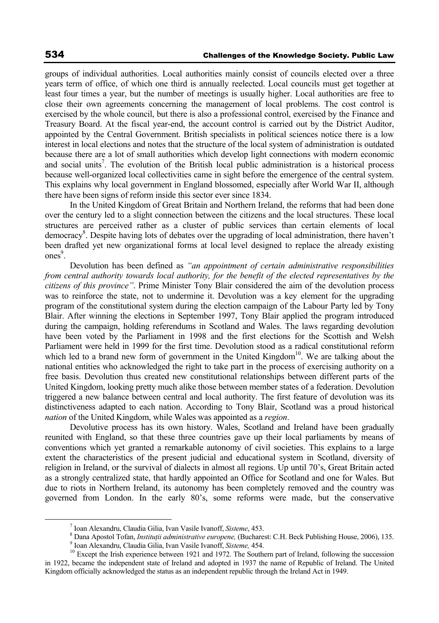groups of individual authorities. Local authorities mainly consist of councils elected over a three years term of office, of which one third is annually reelected. Local councils must get together at least four times a year, but the number of meetings is usually higher. Local authorities are free to close their own agreements concerning the management of local problems. The cost control is exercised by the whole council, but there is also a professional control, exercised by the Finance and Treasury Board. At the fiscal year-end, the account control is carried out by the District Auditor, appointed by the Central Government. British specialists in political sciences notice there is a low interest in local elections and notes that the structure of the local system of administration is outdated because there are a lot of small authorities which develop light connections with modern economic and social units<sup>7</sup>. The evolution of the British local public administration is a historical process because well-organized local collectivities came in sight before the emergence of the central system. This explains why local government in England blossomed, especially after World War II, although there have been signs of reform inside this sector ever since 1834.

In the United Kingdom of Great Britain and Northern Ireland, the reforms that had been done over the century led to a slight connection between the citizens and the local structures. These local structures are perceived rather as a cluster of public services than certain elements of local democracy<sup>8</sup>. Despite having lots of debates over the upgrading of local administration, there haven't been drafted yet new organizational forms at local level designed to replace the already existing ones<sup>9</sup>.

Devolution has been defined as *"an appointment of certain administrative responsibilities from central authority towards local authority, for the benefit of the elected representatives by the citizens of this province"*. Prime Minister Tony Blair considered the aim of the devolution process was to reinforce the state, not to undermine it. Devolution was a key element for the upgrading program of the constitutional system during the election campaign of the Labour Party led by Tony Blair. After winning the elections in September 1997, Tony Blair applied the program introduced during the campaign, holding referendums in Scotland and Wales. The laws regarding devolution have been voted by the Parliament in 1998 and the first elections for the Scottish and Welsh Parliament were held in 1999 for the first time. Devolution stood as a radical constitutional reform which led to a brand new form of government in the United Kingdom $10$ . We are talking about the national entities who acknowledged the right to take part in the process of exercising authority on a free basis. Devolution thus created new constitutional relationships between different parts of the United Kingdom, looking pretty much alike those between member states of a federation. Devolution triggered a new balance between central and local authority. The first feature of devolution was its distinctiveness adapted to each nation. According to Tony Blair, Scotland was a proud historical *nation* of the United Kingdom, while Wales was appointed as a *region*.

Devolutive process has its own history. Wales, Scotland and Ireland have been gradually reunited with England, so that these three countries gave up their local parliaments by means of conventions which yet granted a remarkable autonomy of civil societies. This explains to a large extent the characteristics of the present judicial and educational system in Scotland, diversity of religion in Ireland, or the survival of dialects in almost all regions. Up until 70's, Great Britain acted as a strongly centralized state, that hardly appointed an Office for Scotland and one for Wales. But due to riots in Northern Ireland, its autonomy has been completely removed and the country was governed from London. In the early 80's, some reforms were made, but the conservative

 <sup>7</sup> <sup>7</sup> Ioan Alexandru, Claudia Gilia, Ivan Vasile Ivanoff, *Sisteme*, 453.

<sup>&</sup>lt;sup>8</sup> Dana Apostol Tofan, *Instituții administrative europene*, (Bucharest: C.H. Beck Publishing House, 2006), 135. <sup>9</sup> Ioan Alexandru, Claudia Gilia, Ivan Vasile Ivanoff, *Sisteme*, 454.

<sup>&</sup>lt;sup>10</sup> Except the Irish experience between 1921 and 1972. The Southern part of Ireland, following the succession in 1922, became the independent state of Ireland and adopted in 1937 the name of Republic of Ireland. The United Kingdom officially acknowledged the status as an independent republic through the Ireland Act in 1949.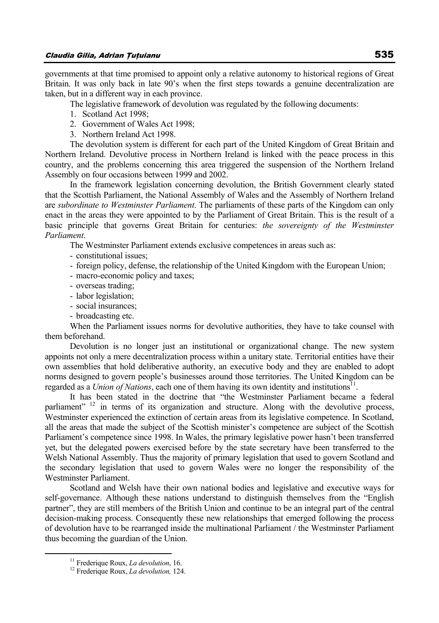governments at that time promised to appoint only a relative autonomy to historical regions of Great Britain. It was only back in late 90's when the first steps towards a genuine decentralization are taken, but in a different way in each province.

The legislative framework of devolution was regulated by the following documents:

- 1. Scotland Act 1998;
- 2. Government of Wales Act 1998;
- 3. Northern Ireland Act 1998.

The devolution system is different for each part of the United Kingdom of Great Britain and Northern Ireland. Devolutive process in Northern Ireland is linked with the peace process in this country, and the problems concerning this area triggered the suspension of the Northern Ireland Assembly on four occasions between 1999 and 2002.

In the framework legislation concerning devolution, the British Government clearly stated that the Scottish Parliament, the National Assembly of Wales and the Assembly of Northern Ireland are *subordinate to Westminster Parliament*. The parliaments of these parts of the Kingdom can only enact in the areas they were appointed to by the Parliament of Great Britain. This is the result of a basic principle that governs Great Britain for centuries: *the sovereignty of the Westminster Parliament*.

The Westminster Parliament extends exclusive competences in areas such as:

- constitutional issues;
- foreign policy, defense, the relationship of the United Kingdom with the European Union;
- macro-economic policy and taxes;
- overseas trading;
- labor legislation;
- social insurances;
- broadcasting etc.

When the Parliament issues norms for devolutive authorities, they have to take counsel with them beforehand.

Devolution is no longer just an institutional or organizational change. The new system appoints not only a mere decentralization process within a unitary state. Territorial entities have their own assemblies that hold deliberative authority, an executive body and they are enabled to adopt norms designed to govern people's businesses around those territories. The United Kingdom can be regarded as a *Union of Nations*, each one of them having its own identity and institutions<sup>11</sup>.

It has been stated in the doctrine that "the Westminster Parliament became a federal parliament" <sup>12</sup> in terms of its organization and structure. Along with the devolutive process, Westminster experienced the extinction of certain areas from its legislative competence. In Scotland, all the areas that made the subject of the Scottish minister's competence are subject of the Scottish Parliament's competence since 1998. In Wales, the primary legislative power hasn't been transferred yet, but the delegated powers exercised before by the state secretary have been transferred to the Welsh National Assembly. Thus the majority of primary legislation that used to govern Scotland and the secondary legislation that used to govern Wales were no longer the responsibility of the Westminster Parliament.

Scotland and Welsh have their own national bodies and legislative and executive ways for self-governance. Although these nations understand to distinguish themselves from the "English partner", they are still members of the British Union and continue to be an integral part of the central decision-making process. Consequently these new relationships that emerged following the process of devolution have to be rearranged inside the multinational Parliament / the Westminster Parliament thus becoming the guardian of the Union.

<sup>&</sup>lt;sup>11</sup> Frederique Roux, *La devolution*, 16.<br><sup>12</sup> Frederique Roux, *La devolution*, 124.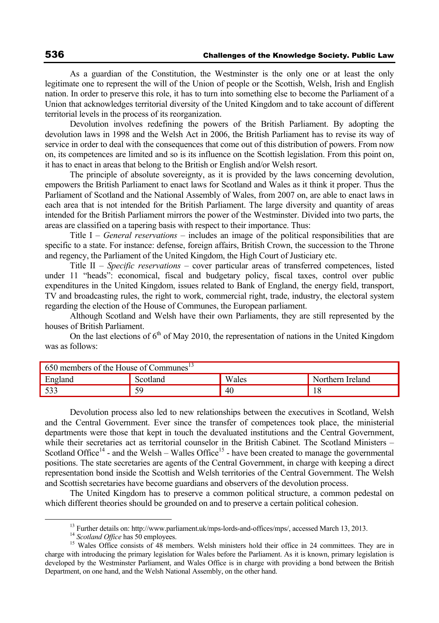As a guardian of the Constitution, the Westminster is the only one or at least the only legitimate one to represent the will of the Union of people or the Scottish, Welsh, Irish and English nation. In order to preserve this role, it has to turn into something else to become the Parliament of a Union that acknowledges territorial diversity of the United Kingdom and to take account of different territorial levels in the process of its reorganization.

Devolution involves redefining the powers of the British Parliament. By adopting the devolution laws in 1998 and the Welsh Act in 2006, the British Parliament has to revise its way of service in order to deal with the consequences that come out of this distribution of powers. From now on, its competences are limited and so is its influence on the Scottish legislation. From this point on, it has to enact in areas that belong to the British or English and/or Welsh resort.

The principle of absolute sovereignty, as it is provided by the laws concerning devolution, empowers the British Parliament to enact laws for Scotland and Wales as it think it proper. Thus the Parliament of Scotland and the National Assembly of Wales, from 2007 on, are able to enact laws in each area that is not intended for the British Parliament. The large diversity and quantity of areas intended for the British Parliament mirrors the power of the Westminster. Divided into two parts, the areas are classified on a tapering basis with respect to their importance. Thus:

Title I – *General reservations* – includes an image of the political responsibilities that are specific to a state. For instance: defense, foreign affairs, British Crown, the succession to the Throne and regency, the Parliament of the United Kingdom, the High Court of Justiciary etc.

Title II – *Specific reservations* – cover particular areas of transferred competences, listed under 11 "heads": economical, fiscal and budgetary policy, fiscal taxes, control over public expenditures in the United Kingdom, issues related to Bank of England, the energy field, transport, TV and broadcasting rules, the right to work, commercial right, trade, industry, the electoral system regarding the election of the House of Communes, the European parliament.

Although Scotland and Welsh have their own Parliaments, they are still represented by the houses of British Parliament.

On the last elections of  $6<sup>th</sup>$  of May 2010, the representation of nations in the United Kingdom was as follows:

| 650 members of the House of Communes <sup>15</sup> |          |       |                  |
|----------------------------------------------------|----------|-------|------------------|
| England                                            | Scotland | Wales | Northern Ireland |
| 522                                                | 59       | 40    | 18               |

Devolution process also led to new relationships between the executives in Scotland, Welsh and the Central Government. Ever since the transfer of competences took place, the ministerial departments were those that kept in touch the devaluated institutions and the Central Government, while their secretaries act as territorial counselor in the British Cabinet. The Scotland Ministers – Scotland Office<sup>14</sup> - and the Welsh – Walles Office<sup>15</sup> - have been created to manage the governmental positions. The state secretaries are agents of the Central Government, in charge with keeping a direct representation bond inside the Scottish and Welsh territories of the Central Government. The Welsh and Scottish secretaries have become guardians and observers of the devolution process.

The United Kingdom has to preserve a common political structure, a common pedestal on which different theories should be grounded on and to preserve a certain political cohesion.

<sup>&</sup>lt;sup>13</sup> Further details on: http://www.parliament.uk/mps-lords-and-offices/mps/, accessed March 13, 2013.<br><sup>14</sup> *Scotland Office* has 50 employees.<br><sup>15</sup> Wales Office consists of 48 members. Welsh ministers hold their office i charge with introducing the primary legislation for Wales before the Parliament. As it is known, primary legislation is developed by the Westminster Parliament, and Wales Office is in charge with providing a bond between the British Department, on one hand, and the Welsh National Assembly, on the other hand.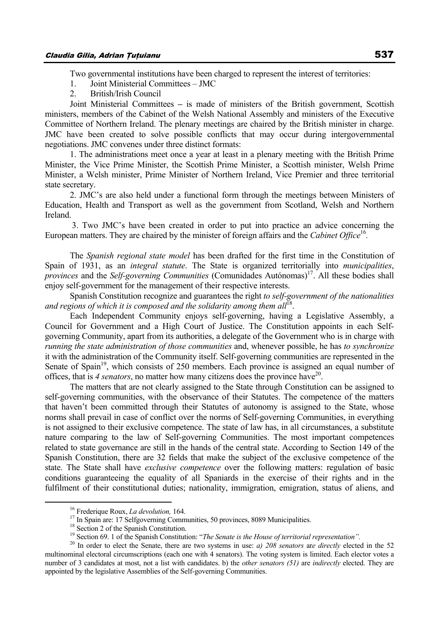Two governmental institutions have been charged to represent the interest of territories:

1. Joint Ministerial Committees – IMC

2. British/Irish Council

Joint Ministerial Committees **–** is made of ministers of the British government, Scottish ministers, members of the Cabinet of the Welsh National Assembly and ministers of the Executive Committee of Northern Ireland. The plenary meetings are chaired by the British minister in charge. JMC have been created to solve possible conflicts that may occur during intergovernmental negotiations. JMC convenes under three distinct formats:

1. The administrations meet once a year at least in a plenary meeting with the British Prime Minister, the Vice Prime Minister, the Scottish Prime Minister, a Scottish minister, Welsh Prime Minister, a Welsh minister, Prime Minister of Northern Ireland, Vice Premier and three territorial state secretary.

2. JMC's are also held under a functional form through the meetings between Ministers of Education, Health and Transport as well as the government from Scotland, Welsh and Northern Ireland.

 3. Two JMC's have been created in order to put into practice an advice concerning the European matters. They are chaired by the minister of foreign affairs and the *Cabinet Office*<sup>16</sup>.

The *Spanish regional state model* has been drafted for the first time in the Constitution of Spain of 1931, as an *integral statute*. The State is organized territorially into *municipalities*, *provinces* and the *Self-governing Communities* (Comunidades Autónomas)<sup>17</sup>. All these bodies shall enjoy self-government for the management of their respective interests.

Spanish Constitution recognize and guarantees the right *to self-government of the nationalities*  and regions of which it is composed and the solidarity among them all<sup>18</sup>.

Each Independent Community enjoys self-governing, having a Legislative Assembly, a Council for Government and a High Court of Justice. The Constitution appoints in each Selfgoverning Community, apart from its authorities, a delegate of the Government who is in charge with *running the state administration of those communities* and, whenever possible, he has *to synchronize* it with the administration of the Community itself. Self-governing communities are represented in the Senate of Spain<sup>19</sup>, which consists of 250 members. Each province is assigned an equal number of offices, that is 4 *senators*, no matter how many citizens does the province have  $2^0$ .

The matters that are not clearly assigned to the State through Constitution can be assigned to self-governing communities, with the observance of their Statutes. The competence of the matters that haven't been committed through their Statutes of autonomy is assigned to the State, whose norms shall prevail in case of conflict over the norms of Self-governing Communities, in everything is not assigned to their exclusive competence. The state of law has, in all circumstances, a substitute nature comparing to the law of Self-governing Communities. The most important competences related to state governance are still in the hands of the central state. According to Section 149 of the Spanish Constitution, there are 32 fields that make the subject of the exclusive competence of the state. The State shall have *exclusive competence* over the following matters: regulation of basic conditions guaranteeing the equality of all Spaniards in the exercise of their rights and in the fulfilment of their constitutional duties; nationality, immigration, emigration, status of aliens, and

<sup>&</sup>lt;sup>16</sup> Frederique Roux, *La devolution*, 164.<br><sup>17</sup> In Spain are: 17 Selfgoverning Communities, 50 provinces, 8089 Municipalities.<br><sup>18</sup> Section 2 of the Spanish Constitution. *<sup>19</sup> Section 69.* 1 of the Spanish Constitution:

 $^{20}$  In order to elect the Senate, there are two systems in use: *a)* 208 senators are directly elected in the 52 multinominal electoral circumscriptions (each one with 4 senators). The voting system is limited. Each elector votes a number of 3 candidates at most, not a list with candidates. b) the *other senators (51)* are *indirectly* elected. They are appointed by the legislative Assemblies of the Self-governing Communities.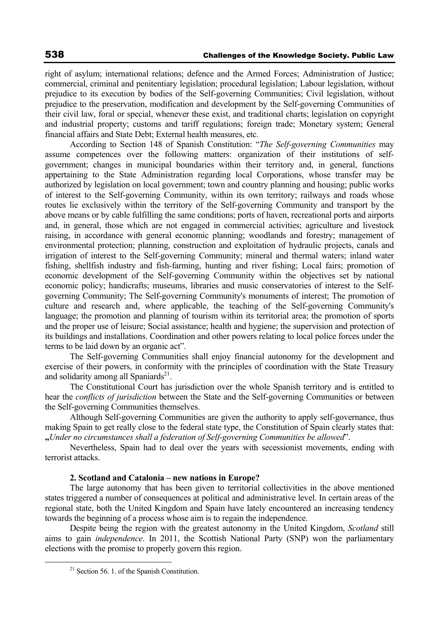right of asylum; international relations; defence and the Armed Forces; Administration of Justice; commercial, criminal and penitentiary legislation; procedural legislation; Labour legislation, without prejudice to its execution by bodies of the Self-governing Communities; Civil legislation, without prejudice to the preservation, modification and development by the Self-governing Communities of their civil law, foral or special, whenever these exist, and traditional charts; legislation on copyright and industrial property; customs and tariff regulations; foreign trade; Monetary system; General financial affairs and State Debt; External health measures, etc.

According to Section 148 of Spanish Constitution: "*The Self-governing Communities* may assume competences over the following matters: organization of their institutions of selfgovernment; changes in municipal boundaries within their territory and, in general, functions appertaining to the State Administration regarding local Corporations, whose transfer may be authorized by legislation on local government; town and country planning and housing; public works of interest to the Self-governing Community, within its own territory; railways and roads whose routes lie exclusively within the territory of the Self-governing Community and transport by the above means or by cable fulfilling the same conditions; ports of haven, recreational ports and airports and, in general, those which are not engaged in commercial activities; agriculture and livestock raising, in accordance with general economic planning; woodlands and forestry; management of environmental protection; planning, construction and exploitation of hydraulic projects, canals and irrigation of interest to the Self-governing Community; mineral and thermal waters; inland water fishing, shellfish industry and fish-farming, hunting and river fishing; Local fairs; promotion of economic development of the Self-governing Community within the objectives set by national economic policy; handicrafts; museums, libraries and music conservatories of interest to the Selfgoverning Community; The Self-governing Community's monuments of interest; The promotion of culture and research and, where applicable, the teaching of the Self-governing Community's language; the promotion and planning of tourism within its territorial area; the promotion of sports and the proper use of leisure; Social assistance; health and hygiene; the supervision and protection of its buildings and installations. Coordination and other powers relating to local police forces under the terms to be laid down by an organic act".

The Self-governing Communities shall enjoy financial autonomy for the development and exercise of their powers, in conformity with the principles of coordination with the State Treasury and solidarity among all Spaniards $21$ .

The Constitutional Court has jurisdiction over the whole Spanish territory and is entitled to hear the *conflicts of jurisdiction* between the State and the Self-governing Communities or between the Self-governing Communities themselves.

Although Self-governing Communities are given the authority to apply self-governance, thus making Spain to get really close to the federal state type, the Constitution of Spain clearly states that: **"***Under no circumstances shall a federation of Self-governing Communities be allowed*".

Nevertheless, Spain had to deal over the years with secessionist movements, ending with terrorist attacks.

#### **2. Scotland and Catalonia – new nations in Europe?**

The large autonomy that has been given to territorial collectivities in the above mentioned states triggered a number of consequences at political and administrative level. In certain areas of the regional state, both the United Kingdom and Spain have lately encountered an increasing tendency towards the beginning of a process whose aim is to regain the independence.

Despite being the region with the greatest autonomy in the United Kingdom, *Scotland* still aims to gain *independence*. In 2011, the Scottish National Party (SNP) won the parliamentary elections with the promise to properly govern this region.

 $21$  Section 56. 1. of the Spanish Constitution.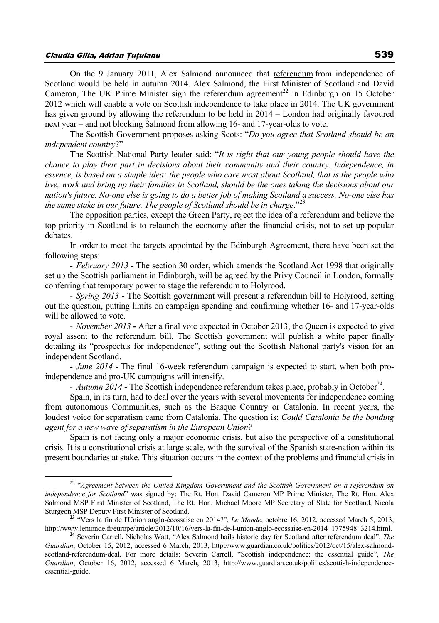## Claudia Gilia, Adrian Ţuţuianu 539

On the 9 January 2011, Alex Salmond announced that referendum from independence of Scotland would be held in autumn 2014. Alex Salmond, the First Minister of Scotland and David Cameron, The UK Prime Minister sign the referendum agreement<sup>22</sup> in Edinburgh on 15 October 2012 which will enable a vote on Scottish independence to take place in 2014. The UK government has given ground by allowing the referendum to be held in 2014 – London had originally favoured

The Scottish Government proposes asking Scots: "*Do you agree that Scotland should be an independent country*?"

next year – and not blocking Salmond from allowing 16- and 17-year-olds to vote.

The Scottish National Party leader said: "*It is right that our young people should have the chance to play their part in decisions about their community and their country. Independence, in essence, is based on a simple idea: the people who care most about Scotland, that is the people who live, work and bring up their families in Scotland, should be the ones taking the decisions about our nation's future. No-one else is going to do a better job of making Scotland a success. No-one else has the same stake in our future. The people of Scotland should be in charge*."23

The opposition parties, except the Green Party, reject the idea of a referendum and believe the top priority in Scotland is to relaunch the economy after the financial crisis, not to set up popular debates.

In order to meet the targets appointed by the Edinburgh Agreement, there have been set the following steps:

- *February 2013* **-** The section 30 order, which amends the Scotland Act 1998 that originally set up the Scottish parliament in Edinburgh, will be agreed by the Privy Council in London, formally conferring that temporary power to stage the referendum to Holyrood.

- *Spring 2013* **-** The Scottish government will present a referendum bill to Holyrood, setting out the question, putting limits on campaign spending and confirming whether 16- and 17-year-olds will be allowed to vote.

- *November 2013* **-** After a final vote expected in October 2013, the Queen is expected to give royal assent to the referendum bill. The Scottish government will publish a white paper finally detailing its "prospectus for independence", setting out the Scottish National party's vision for an independent Scotland.

- *June 2014* - The final 16-week referendum campaign is expected to start, when both proindependence and pro-UK campaigns will intensify.

- *Autumn 2014* - The Scottish independence referendum takes place, probably in October<sup>24</sup>.

Spain, in its turn, had to deal over the years with several movements for independence coming from autonomous Communities, such as the Basque Country or Catalonia. In recent years, the loudest voice for separatism came from Catalonia. The question is: *Could Catalonia be the bonding agent for a new wave of separatism in the European Union?* 

Spain is not facing only a major economic crisis, but also the perspective of a constitutional crisis. It is a constitutional crisis at large scale, with the survival of the Spanish state-nation within its present boundaries at stake. This situation occurs in the context of the problems and financial crisis in

<sup>&</sup>lt;sup>22</sup> "Agreement between the United Kingdom Government and the Scottish Government on a referendum on *independence for Scotland*" was signed by: The Rt. Hon. David Cameron MP Prime Minister, The Rt. Hon. Alex Salmond MSP First Minister of Scotland, The Rt. Hon. Michael Moore MP Secretary of State for Scotland, Nicola Sturgeon MSP Deputy First Minister of Scotland. **<sup>23</sup>** "Vers la fin de l'Union anglo-écossaise en 2014?", *Le Monde*, octobre 16, 2012, accessed March 5, 2013,

http://www.lemonde.fr/europe/article/2012/10/16/vers-la-fin-de-l-union-anglo-ecossaise-en-2014\_1775948\_3214.html.<br><sup>24</sup> Severin Carrell, Nicholas Watt, "Alex Salmond hails historic day for Scotland after referendum deal", T

*Guardian*, October 15, 2012, accessed 6 March, 2013, http://www.guardian.co.uk/politics/2012/oct/15/alex-salmondscotland-referendum-deal. For more details: Severin Carrell, "Scottish independence: the essential guide", *The Guardian*, October 16, 2012, accessed 6 March, 2013, http://www.guardian.co.uk/politics/scottish-independenceessential-guide.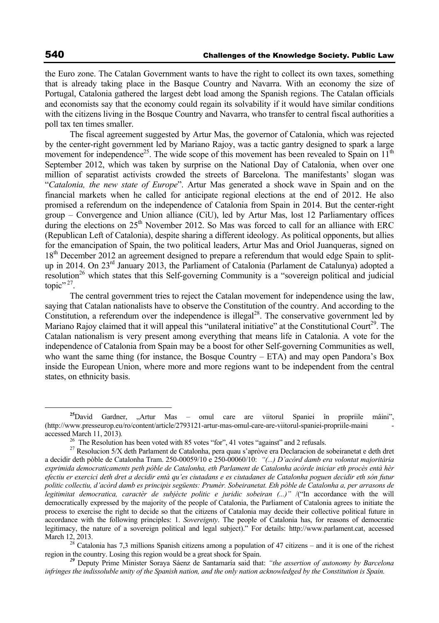the Euro zone. The Catalan Government wants to have the right to collect its own taxes, something that is already taking place in the Basque Country and Navarra. With an economy the size of Portugal, Catalonia gathered the largest debt load among the Spanish regions. The Catalan officials and economists say that the economy could regain its solvability if it would have similar conditions with the citizens living in the Bosque Country and Navarra, who transfer to central fiscal authorities a poll tax ten times smaller.

The fiscal agreement suggested by Artur Mas, the governor of Catalonia, which was rejected by the center-right government led by Mariano Rajoy, was a tactic gantry designed to spark a large movement for independence<sup>25</sup>. The wide scope of this movement has been revealed to Spain on  $11^{th}$ September 2012, which was taken by surprise on the National Day of Catalonia, when over one million of separatist activists crowded the streets of Barcelona. The manifestants' slogan was "*Catalonia, the new state of Europe*". Artur Mas generated a shock wave in Spain and on the financial markets when he called for anticipate regional elections at the end of 2012. He also promised a referendum on the independence of Catalonia from Spain in 2014. But the center-right group – Convergence and Union alliance (CiU), led by Artur Mas, lost 12 Parliamentary offices during the elections on  $25<sup>th</sup>$  November 2012. So Mas was forced to call for an alliance with ERC (Republican Left of Catalonia), despite sharing a different ideology. As political opponents, but allies for the emancipation of Spain, the two political leaders, Artur Mas and Oriol Juanqueras, signed on 18<sup>th</sup> December 2012 an agreement designed to prepare a referendum that would edge Spain to splitup in 2014. On 23rd January 2013, the Parliament of Catalonia (Parlament de Catalunya) adopted a resolution<sup>26</sup> which states that this Self-governing Community is a "sovereign political and judicial topic". $27$ .

The central government tries to reject the Catalan movement for independence using the law, saying that Catalan nationalists have to observe the Constitution of the country. And according to the Constitution, a referendum over the independence is illegal<sup>28</sup>. The conservative government led by Mariano Rajoy claimed that it will appeal this "unilateral initiative" at the Constitutional Court<sup>29</sup>. The Catalan nationalism is very present among everything that means life in Catalonia. A vote for the independence of Catalonia from Spain may be a boost for other Self-governing Communities as well, who want the same thing (for instance, the Bosque Country – ETA) and may open Pandora's Box inside the European Union, where more and more regions want to be independent from the central states, on ethnicity basis.

*infringes the indissoluble unity of the Spanish nation, and the only nation acknowledged by the Constitution is Spain.* 

<sup>&</sup>lt;sup>25</sup>David Gardner, "Artur Mas – omul care are viitorul Spaniei în propriile mâini", (http://www.presseurop.eu/ro/content/article/2793121-artur-mas-omul-care-are-viitorul-spaniei-propriile-maini accessed March 11, 2013)*.* 26 The Resolution has been voted with 85 votes "for", 41 votes "against" and 2 refusals.

<sup>27</sup> Resolucion 5/X deth Parlament de Catalonha, pera quau s'apròve era Declaracion de sobeiranetat e deth dret a decidir deth pòble de Catalonha Tram. 250-00059/10 e 250-00060/10: *"(...) D'acòrd damb era volontat majoritària exprimida democraticaments peth pòble de Catalonha, eth Parlament de Catalonha acòrde iniciar eth procès entà hèr efectiu er exercici deth dret a decidir entà qu'es ciutadans e es ciutadanes de Catalonha poguen decidir eth sòn futur politic collectiu, d'acòrd damb es principis següents: Prumèr. Sobeiranetat. Eth pòble de Catalonha a, per arrasons de legitimitat democratica, caractèr de subjècte politic e juridic sobeiran (...)"* /("In accordance with the will democratically expressed by the majority of the people of Catalonia, the Parliament of Catalonia agrees to initiate the process to exercise the right to decide so that the citizens of Catalonia may decide their collective political future in accordance with the following principles: 1. *Sovereignty*. The people of Catalonia has, for reasons of democratic legitimacy, the nature of a sovereign political and legal subject)." For details: http://www.parlament.cat, accessed

March 12, 2013.<br><sup>28</sup> Catalonia has 7,3 millions Spanish citizens among a population of 47 citizens – and it is one of the richest region in the country. Losing this region would be a great shock for Spain. *<sup>29</sup>* Deputy Prime Minister Soraya Sáenz de Santamaría said that: *"the assertion of autonomy by Barcelona*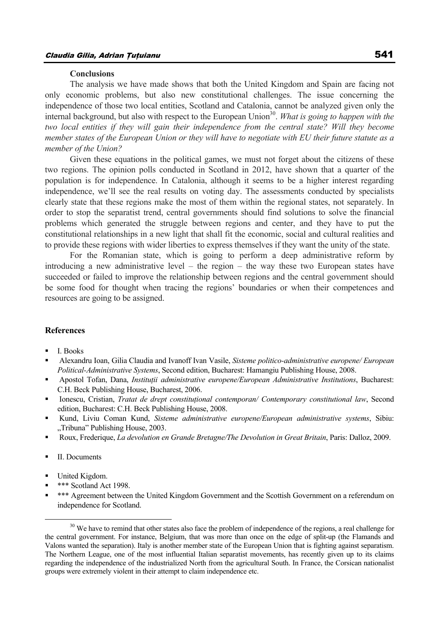#### **Conclusions**

The analysis we have made shows that both the United Kingdom and Spain are facing not only economic problems, but also new constitutional challenges. The issue concerning the independence of those two local entities, Scotland and Catalonia, cannot be analyzed given only the internal background, but also with respect to the European Union<sup>30</sup>. *What is going to happen with the two local entities if they will gain their independence from the central state? Will they become member states of the European Union or they will have to negotiate with EU their future statute as a member of the Union?* 

Given these equations in the political games, we must not forget about the citizens of these two regions. The opinion polls conducted in Scotland in 2012, have shown that a quarter of the population is for independence. In Catalonia, although it seems to be a higher interest regarding independence, we'll see the real results on voting day. The assessments conducted by specialists clearly state that these regions make the most of them within the regional states, not separately. In order to stop the separatist trend, central governments should find solutions to solve the financial problems which generated the struggle between regions and center, and they have to put the constitutional relationships in a new light that shall fit the economic, social and cultural realities and to provide these regions with wider liberties to express themselves if they want the unity of the state.

For the Romanian state, which is going to perform a deep administrative reform by introducing a new administrative level – the region – the way these two European states have succeeded or failed to improve the relationship between regions and the central government should be some food for thought when tracing the regions' boundaries or when their competences and resources are going to be assigned.

## **References**

- I. Books
- Alexandru Ioan, Gilia Claudia and Ivanoff Ivan Vasile, *Sisteme politico-administrative europene/ European Political-Administrative Systems*, Second edition, Bucharest: Hamangiu Publishing House, 2008.
- Apostol Tofan, Dana, *Instituţii administrative europene/European Administrative Institutions*, Bucharest: C.H. Beck Publishing House, Bucharest, 2006.
- Ionescu, Cristian, *Tratat de drept constituţional contemporan/ Contemporary constitutional law*, Second edition, Bucharest: C.H. Beck Publishing House, 2008.
- Kund, Liviu Coman Kund, *Sisteme administrative europene/European administrative systems*, Sibiu: "Tribuna" Publishing House, 2003.
- Roux, Frederique, *La devolution en Grande Bretagne/The Devolution in Great Britain*, Paris: Dalloz, 2009.
- **II.** Documents
- United Kigdom.
- \*\*\* Scotland Act 1998.
- \*\*\* Agreement between the United Kingdom Government and the Scottish Government on a referendum on independence for Scotland.

<sup>&</sup>lt;sup>30</sup> We have to remind that other states also face the problem of independence of the regions, a real challenge for the central government. For instance, Belgium, that was more than once on the edge of split-up (the Flamands and Valons wanted the separation). Italy is another member state of the European Union that is fighting against separatism. The Northern League, one of the most influential Italian separatist movements, has recently given up to its claims regarding the independence of the industrialized North from the agricultural South. In France, the Corsican nationalist groups were extremely violent in their attempt to claim independence etc.